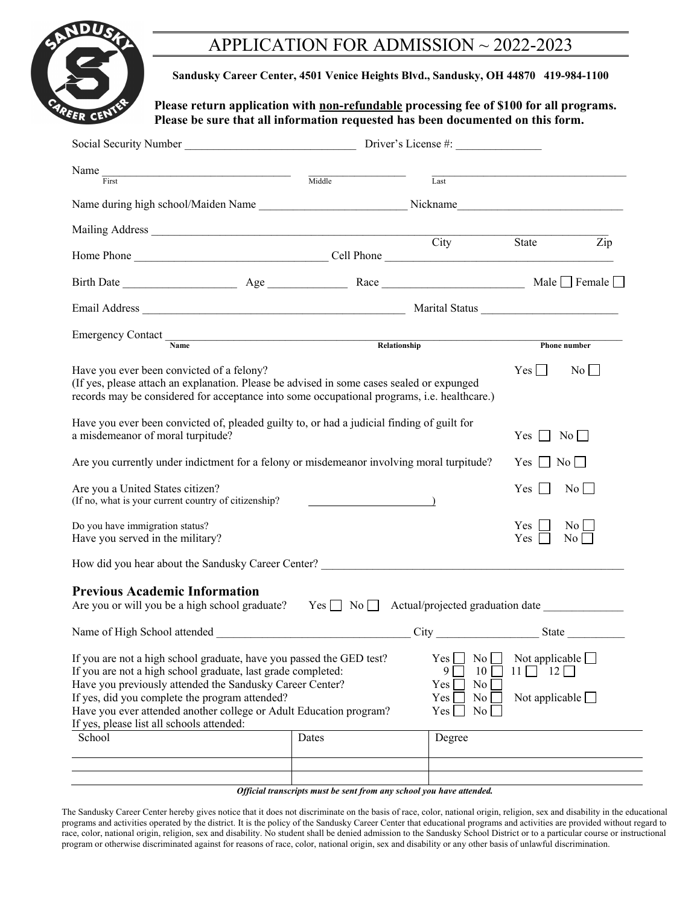

# APPLICATION FOR ADMISSION ~ 2022-2023

**Sandusky Career Center, 4501 Venice Heights Blvd., Sandusky, OH 44870 419-984-1100** 

Please return application with **non-refundable** processing fee of \$100 for all programs. **Please be sure that all information requested has been documented on this form.** 

| Social Security Number                                                                                                                                                                                                                                                                                                                                                |        |              | Driver's License #:                                         |                                                            |                          |
|-----------------------------------------------------------------------------------------------------------------------------------------------------------------------------------------------------------------------------------------------------------------------------------------------------------------------------------------------------------------------|--------|--------------|-------------------------------------------------------------|------------------------------------------------------------|--------------------------|
| Name<br>First                                                                                                                                                                                                                                                                                                                                                         | Middle |              | $\overline{\text{Last}}$                                    |                                                            |                          |
| Name during high school/Maiden Name ________________________________Nickname__________________________________                                                                                                                                                                                                                                                        |        |              |                                                             |                                                            |                          |
|                                                                                                                                                                                                                                                                                                                                                                       |        |              |                                                             |                                                            |                          |
|                                                                                                                                                                                                                                                                                                                                                                       |        |              |                                                             | State                                                      | $\overline{Zip}$         |
|                                                                                                                                                                                                                                                                                                                                                                       |        |              |                                                             |                                                            |                          |
|                                                                                                                                                                                                                                                                                                                                                                       |        |              |                                                             |                                                            |                          |
| Emergency Contact Name                                                                                                                                                                                                                                                                                                                                                |        | Relationship |                                                             |                                                            | Phone number             |
| Have you ever been convicted of a felony?<br>(If yes, please attach an explanation. Please be advised in some cases sealed or expunged<br>records may be considered for acceptance into some occupational programs, i.e. healthcare.)                                                                                                                                 |        |              |                                                             | Yes                                                        | $No$ $\Box$              |
| Have you ever been convicted of, pleaded guilty to, or had a judicial finding of guilt for<br>a misdemeanor of moral turpitude?                                                                                                                                                                                                                                       |        |              |                                                             | Yes 1                                                      | $\overline{N_0}$         |
| Are you currently under indictment for a felony or misdemeanor involving moral turpitude?                                                                                                                                                                                                                                                                             |        |              |                                                             | $Yes \mid \mid No \mid$                                    |                          |
| Are you a United States citizen?<br>(If no, what is your current country of citizenship?                                                                                                                                                                                                                                                                              |        |              |                                                             | $Yes \mid \mid$                                            | No                       |
| Do you have immigration status?<br>Have you served in the military?                                                                                                                                                                                                                                                                                                   |        |              |                                                             | Yes 1 1<br>$Yes$                                           | No<br>$\overline{N_{0}}$ |
| How did you hear about the Sandusky Career Center?                                                                                                                                                                                                                                                                                                                    |        |              |                                                             |                                                            |                          |
| <b>Previous Academic Information</b><br>Are you or will you be a high school graduate? Yes $\Box$ No $\Box$ Actual/projected graduation date                                                                                                                                                                                                                          |        |              |                                                             |                                                            |                          |
|                                                                                                                                                                                                                                                                                                                                                                       |        |              |                                                             |                                                            |                          |
| If you are not a high school graduate, have you passed the GED test?<br>If you are not a high school graduate, last grade completed:<br>Have you previously attended the Sandusky Career Center?<br>If yes, did you complete the program attended?<br>Have you ever attended another college or Adult Education program?<br>If yes, please list all schools attended: |        |              | Yes<br>No<br>9<br>10<br>No<br>Yes<br>Yes<br>No<br>No<br>Yes | Not applicable $\Box$<br>$11$    <br>Not applicable $\Box$ | $12\Box$                 |
| School                                                                                                                                                                                                                                                                                                                                                                | Dates  |              | Degree                                                      |                                                            |                          |
|                                                                                                                                                                                                                                                                                                                                                                       |        |              |                                                             |                                                            |                          |
|                                                                                                                                                                                                                                                                                                                                                                       |        |              |                                                             |                                                            |                          |

*Official transcripts must be sent from any school you have attended.* 

The Sandusky Career Center hereby gives notice that it does not discriminate on the basis of race, color, national origin, religion, sex and disability in the educational programs and activities operated by the district. It is the policy of the Sandusky Career Center that educational programs and activities are provided without regard to race, color, national origin, religion, sex and disability. No student shall be denied admission to the Sandusky School District or to a particular course or instructional program or otherwise discriminated against for reasons of race, color, national origin, sex and disability or any other basis of unlawful discrimination.